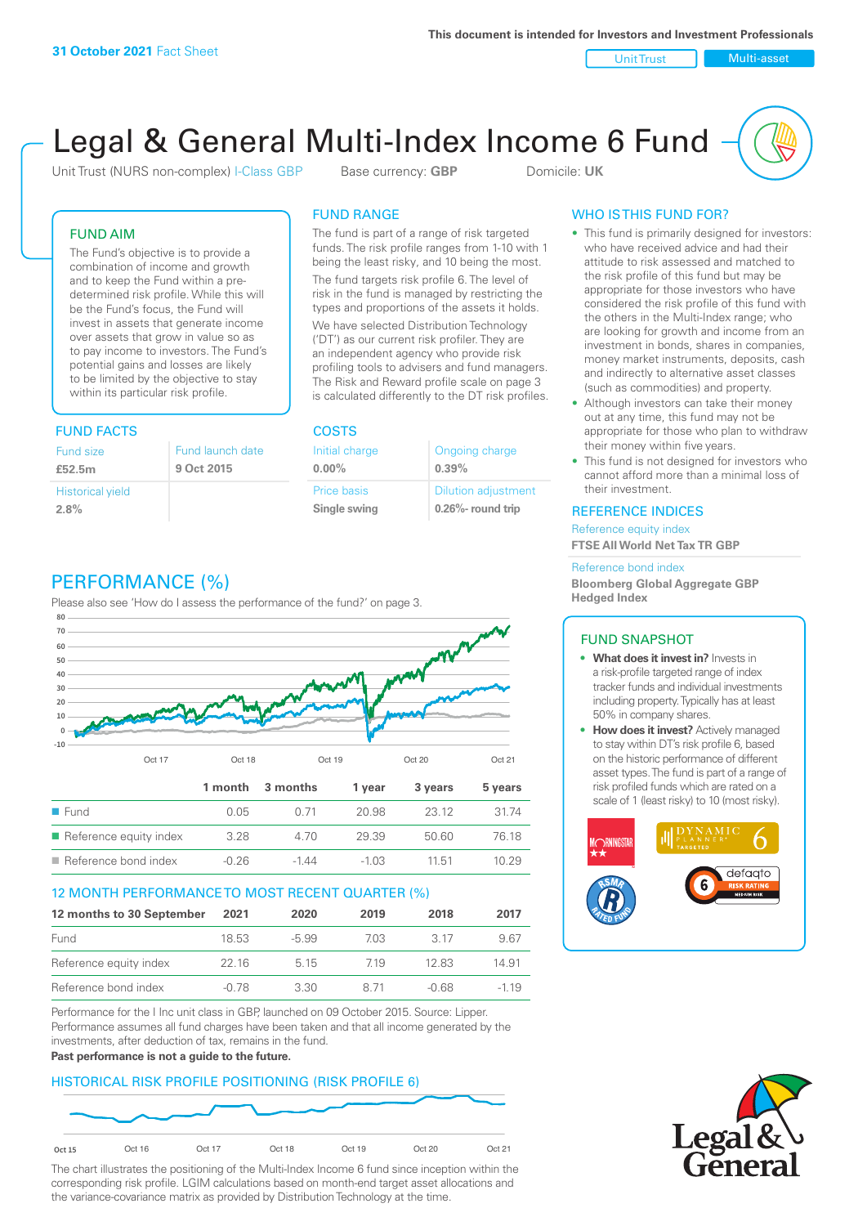Unit Trust Nulti-asset

# Legal & General Multi-Index Income 6 Fund

Unit Trust (NURS non-complex) I-Class GBP Base currency: **GBP** Domicile: UK

### FUND AIM

The Fund's objective is to provide a combination of income and growth and to keep the Fund within a predetermined risk profile. While this will be the Fund's focus, the Fund will invest in assets that generate income over assets that grow in value so as to pay income to investors. The Fund's potential gains and losses are likely to be limited by the objective to stay within its particular risk profile.

### FUND FACTS COSTS

| Fund size                       | Fund launch date |
|---------------------------------|------------------|
| £52.5m                          | 9 Oct 2015       |
| <b>Historical yield</b><br>2.8% |                  |

### FUND RANGE

The fund is part of a range of risk targeted funds. The risk profile ranges from 1-10 with 1 being the least risky, and 10 being the most.

The fund targets risk profile 6. The level of risk in the fund is managed by restricting the types and proportions of the assets it holds. We have selected Distribution Technology ('DT') as our current risk profiler. They are an independent agency who provide risk profiling tools to advisers and fund managers. The Risk and Reward profile scale on page 3 is calculated differently to the DT risk profiles.

**0.00%**

| Initial charge | Ongoing charge             |
|----------------|----------------------------|
| $0.00\%$       | 0.39%                      |
| Price basis    | <b>Dilution adjustment</b> |
| Single swing   | 0.26%- round trip          |

### WHO IS THIS FUND FOR?

- This fund is primarily designed for investors: who have received advice and had their attitude to risk assessed and matched to the risk profile of this fund but may be appropriate for those investors who have considered the risk profile of this fund with the others in the Multi-Index range; who are looking for growth and income from an investment in bonds, shares in companies, money market instruments, deposits, cash and indirectly to alternative asset classes (such as commodities) and property.
- Although investors can take their money out at any time, this fund may not be appropriate for those who plan to withdraw their money within five years.
- This fund is not designed for investors who cannot afford more than a minimal loss of their investment.

### REFERENCE INDICES

Reference equity index **FTSE All World Net Tax TR GBP**

#### Reference bond index

**Bloomberg Global Aggregate GBP Hedged Index**

### FUND SNAPSHOT

- **• What does it invest in?** Invests in a risk-profile targeted range of index tracker funds and individual investments including property. Typically has at least 50% in company shares.
- **• How does it invest?** Actively managed to stay within DT's risk profile 6, based on the historic performance of different asset types. The fund is part of a range of risk profiled funds which are rated on a scale of 1 (least risky) to 10 (most risky).





### PERFORMANCE (%)

Please also see 'How do I assess the performance of the fund?' on page 3.



### 12 MONTH PERFORMANCE TO MOST RECENT QUARTER (%)

| 12 months to 30 September | 2021  | 2020    | 2019 | 2018  | 2017   |
|---------------------------|-------|---------|------|-------|--------|
| Fund                      | 18.53 | $-5.99$ | 703  | 3.17  | 967    |
| Reference equity index    | 22 16 | 5 1 5   | 719  | 12.83 | 14.91  |
| Reference bond index      | -0.78 | 3.30    | 8 71 | -0.68 | $-119$ |

Performance for the I Inc unit class in GBP, launched on 09 October 2015. Source: Lipper. Performance assumes all fund charges have been taken and that all income generated by the investments, after deduction of tax, remains in the fund.

#### **Past performance is not a guide to the future.**

### HISTORICAL RISK PROFILE POSITIONING (RISK PROFILE 6)



The chart illustrates the positioning of the Multi-Index Income 6 fund since inception within the corresponding risk profile. LGIM calculations based on month-end target asset allocations and the variance-covariance matrix as provided by Distribution Technology at the time.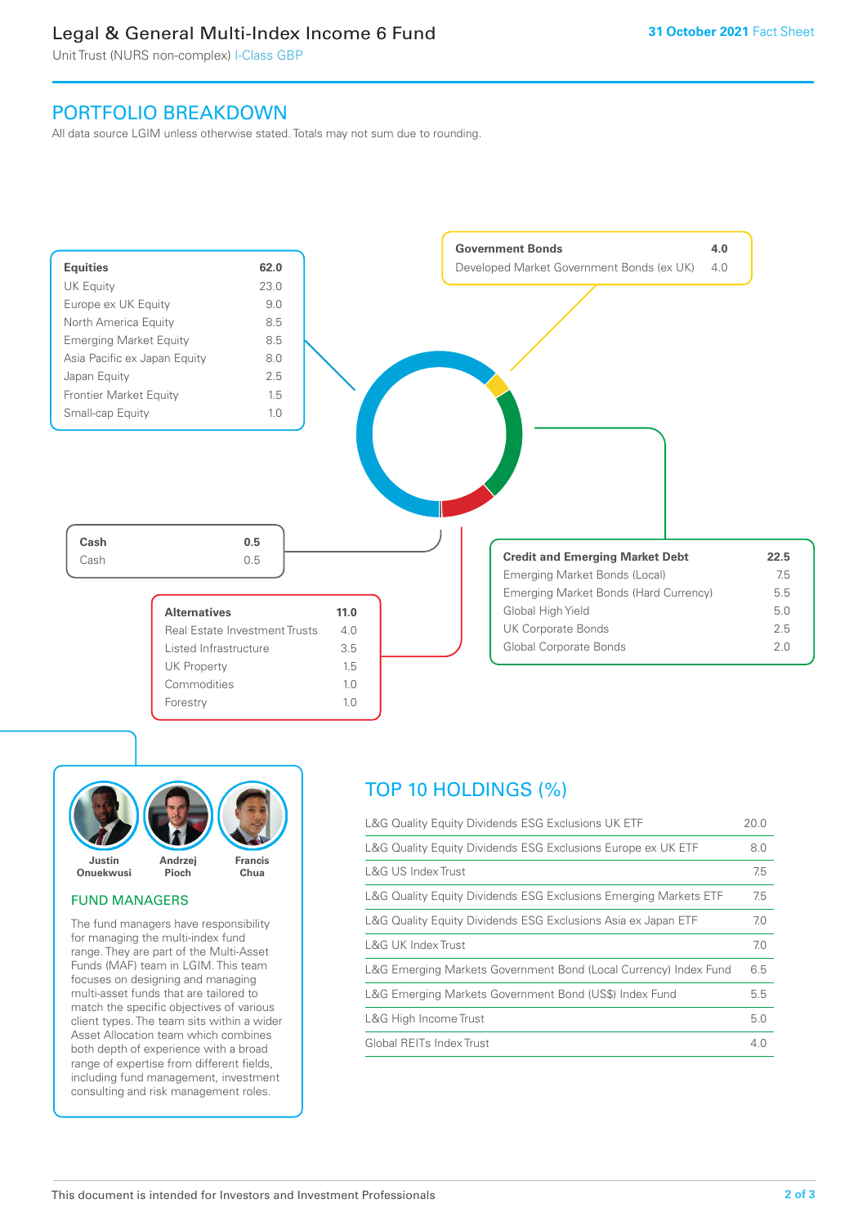### Legal & General Multi-Index Income 6 Fund

Unit Trust (NURS non-complex) I-Class GBP

### PORTFOLIO BREAKDOWN

All data source LGIM unless otherwise stated. Totals may not sum due to rounding.





### FUND MANAGERS

The fund managers have responsibility for managing the multi-index fund range. They are part of the Multi-Asset Funds (MAF) team in LGIM. This team focuses on designing and managing multi-asset funds that are tailored to match the specific objectives of various client types. The team sits within a wider Asset Allocation team which combines both depth of experience with a broad range of expertise from different fields, including fund management, investment consulting and risk management roles.

## TOP 10 HOLDINGS (%)

| L&G Quality Equity Dividends ESG Exclusions UK ETF               | 20.0 |
|------------------------------------------------------------------|------|
| L&G Quality Equity Dividends ESG Exclusions Europe ex UK ETF     | 8.0  |
| L&G US Index Trust                                               | 7.5  |
| L&G Quality Equity Dividends ESG Exclusions Emerging Markets ETF | 7.5  |
| L&G Quality Equity Dividends ESG Exclusions Asia ex Japan ETF    | 7.0  |
| L&G UK Index Trust                                               | 7.0  |
| L&G Emerging Markets Government Bond (Local Currency) Index Fund | 6.5  |
| L&G Emerging Markets Government Bond (US\$) Index Fund           | 5.5  |
| L&G High Income Trust                                            | 5.0  |
| Global REITs Index Trust                                         | 4.0  |